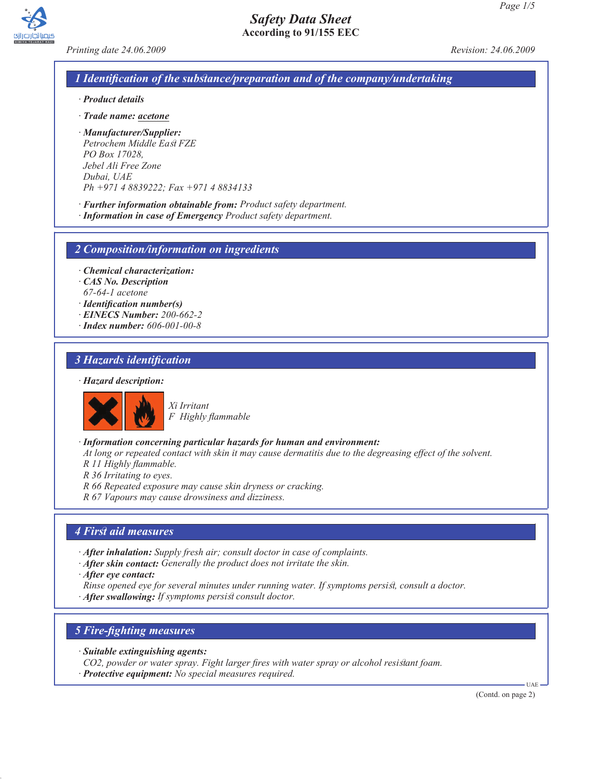*Printing date 24.06.2009 Revision: 24.06.2009*

### *1 Identification of the substance/preparation and of the company/undertaking*

- *· Product details*
- *· Trade name: acetone*
- *· Manufacturer/Supplier: Petrochem Middle East FZE PO Box 17028, Jebel Ali Free Zone Dubai, UAE Ph +971 4 8839222; Fax +971 4 8834133*
- *· Further information obtainable from: Product safety department.*
- *· Information in case of Emergency Product safety department.*

*2 Composition/information on ingredients*

- *· Chemical characterization:*
- *· CAS No. Description*
- *67-64-1 acetone*
- *· Identification number(s)*
- *· EINECS Number: 200-662-2*
- *· Index number: 606-001-00-8*

### *3 Hazards identification*

#### *· Hazard description:*



*Xi Irritant F Highly flammable*

- *· Information concerning particular hazards for human and environment:*
- *At long or repeated contact with skin it may cause dermatitis due to the degreasing effect of the solvent.*
- *R 11 Highly flammable.*
- *R 36 Irritating to eyes.*
- *R 66 Repeated exposure may cause skin dryness or cracking.*

*R 67 Vapours may cause drowsiness and dizziness.*

### *4 First aid measures*

- *· After inhalation: Supply fresh air; consult doctor in case of complaints.*
- *· After skin contact: Generally the product does not irritate the skin.*
- *· After eye contact:*
- *Rinse opened eye for several minutes under running water. If symptoms persist, consult a doctor.*
- *· After swallowing: If symptoms persist consult doctor.*

### *5 Fire-fighting measures*

- *· Suitable extinguishing agents:*
- *CO2, powder or water spray. Fight larger fires with water spray or alcohol resistant foam.*
- *· Protective equipment: No special measures required.*

(Contd. on page 2)

 $UAP$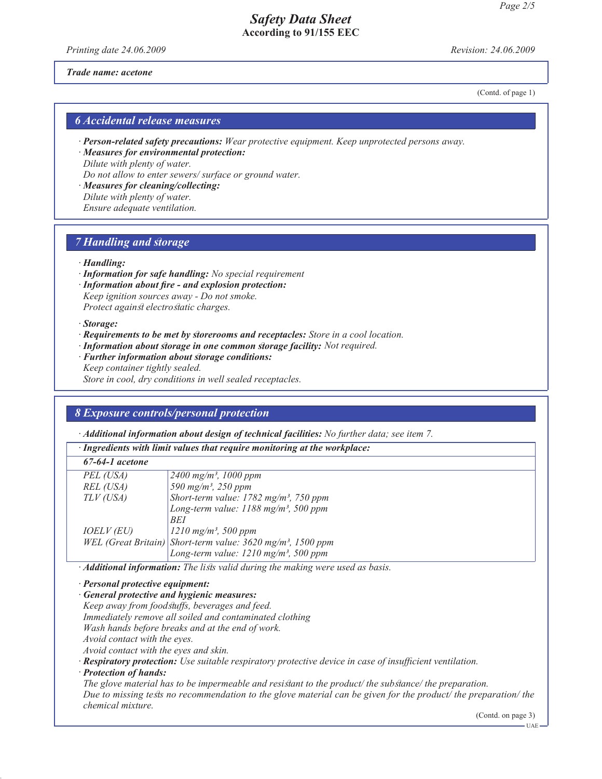*Printing date 24.06.2009 Revision: 24.06.2009*

#### *Trade name: acetone*

(Contd. of page 1)

### *6 Accidental release measures*

*· Person-related safety precautions: Wear protective equipment. Keep unprotected persons away.*

*· Measures for environmental protection: Dilute with plenty of water. Do not allow to enter sewers/ surface or ground water.*

*· Measures for cleaning/collecting: Dilute with plenty of water. Ensure adequate ventilation.*

### *7 Handling and storage*

#### *· Handling:*

*· Information for safe handling: No special requirement*

*· Information about fire - and explosion protection: Keep ignition sources away - Do not smoke. Protect against electrostatic charges.*

*· Storage:*

- *· Requirements to be met by storerooms and receptacles: Store in a cool location.*
- *· Information about storage in one common storage facility: Not required.*
- *· Further information about storage conditions: Keep container tightly sealed.*

*Store in cool, dry conditions in well sealed receptacles.*

#### *8 Exposure controls/personal protection*

*· Additional information about design of technical facilities: No further data; see item 7.*

|                                                                                        | лишнопи проглашон иооні асм <u>е</u> н орісснійсті расіннем то ратісі чана, ме нет т. |                                                                           |  |  |  |
|----------------------------------------------------------------------------------------|---------------------------------------------------------------------------------------|---------------------------------------------------------------------------|--|--|--|
|                                                                                        | · Ingredients with limit values that require monitoring at the workplace:             |                                                                           |  |  |  |
|                                                                                        | $67-64-1$ acetone                                                                     |                                                                           |  |  |  |
|                                                                                        | PEL (USA)                                                                             | $2400 \text{ mg/m}^3$ , 1000 ppm                                          |  |  |  |
|                                                                                        | REL (USA)                                                                             | 590 mg/m <sup>3</sup> , 250 ppm                                           |  |  |  |
|                                                                                        | $TLV$ (USA)                                                                           | Short-term value: 1782 mg/m <sup>3</sup> , 750 ppm                        |  |  |  |
|                                                                                        |                                                                                       | Long-term value: 1188 mg/m <sup>3</sup> , 500 ppm                         |  |  |  |
|                                                                                        |                                                                                       | BEI                                                                       |  |  |  |
|                                                                                        | <i>IOELV (EU)</i>                                                                     | $1210$ mg/m <sup>3</sup> , 500 ppm                                        |  |  |  |
|                                                                                        |                                                                                       | WEL (Great Britain) Short-term value: $3620$ mg/m <sup>3</sup> , 1500 ppm |  |  |  |
|                                                                                        |                                                                                       | Long-term value: $1210$ mg/m <sup>3</sup> , 500 ppm                       |  |  |  |
| · <b>Additional information:</b> The lists valid during the making were used as basis. |                                                                                       |                                                                           |  |  |  |
|                                                                                        | $\cdot$ Personal protective equipment:                                                |                                                                           |  |  |  |

*· Personal protective equipment:*

*· General protective and hygienic measures:*

*Keep away from foodstuffs, beverages and feed.*

*Immediately remove all soiled and contaminated clothing*

*Wash hands before breaks and at the end of work.*

*Avoid contact with the eyes.*

*Avoid contact with the eyes and skin.*

*· Respiratory protection: Use suitable respiratory protective device in case of insufficient ventilation.*

*· Protection of hands:*

*The glove material has to be impermeable and resistant to the product/ the substance/ the preparation. Due to missing tests no recommendation to the glove material can be given for the product/ the preparation/ the chemical mixture.*

(Contd. on page 3)

UAE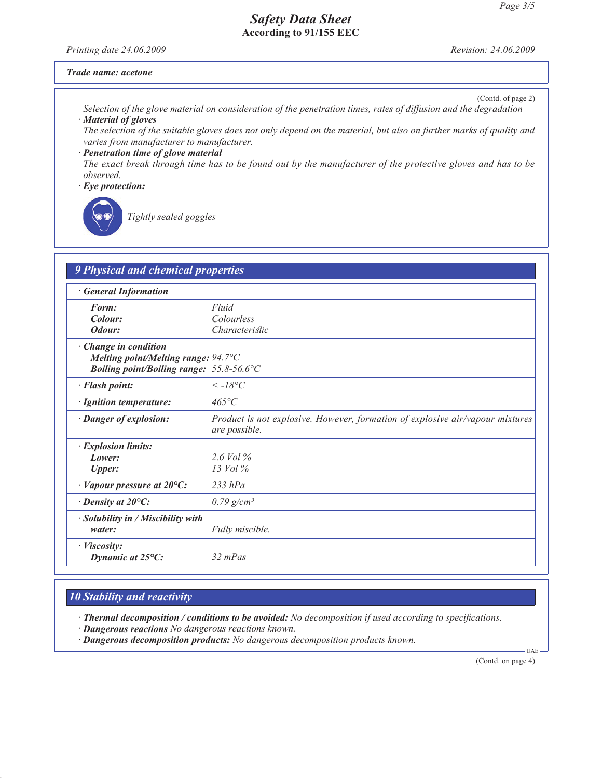*Printing date 24.06.2009 Revision: 24.06.2009*

#### *Trade name: acetone*

(Contd. of page 2)

*Selection of the glove material on consideration of the penetration times, rates of diffusion and the degradation · Material of gloves*

*The selection of the suitable gloves does not only depend on the material, but also on further marks of quality and varies from manufacturer to manufacturer.*

*· Penetration time of glove material The exact break through time has to be found out by the manufacturer of the protective gloves and has to be observed.*

*· Eye protection:*



*Tightly sealed goggles*

| <b>General Information</b>                   |                                                                                                |
|----------------------------------------------|------------------------------------------------------------------------------------------------|
| Form:                                        | Fluid                                                                                          |
| Colour:                                      | Colourless                                                                                     |
| Odour:                                       | <i>Characteristic</i>                                                                          |
| Change in condition                          |                                                                                                |
| Melting point/Melting range: $94.7^{\circ}C$ |                                                                                                |
| Boiling point/Boiling range: 55.8-56.6°C     |                                                                                                |
| · Flash point:                               | $\leq$ -18°C                                                                                   |
| · Ignition temperature:                      | $465^{\circ}C$                                                                                 |
| · Danger of explosion:                       | Product is not explosive. However, formation of explosive air/vapour mixtures<br>are possible. |
| · Explosion limits:                          |                                                                                                |
| Lower:                                       | $2.6$ Vol %                                                                                    |
| <b>Upper:</b>                                | $13$ Vol $\%$                                                                                  |
| $\cdot$ Vapour pressure at 20 $\rm ^{o}C$ :  | $233$ hPa                                                                                      |
| $\cdot$ Density at 20 $\mathrm{^{\circ}C:}$  | $0.79$ g/cm <sup>3</sup>                                                                       |
| · Solubility in / Miscibility with<br>water: | Fully miscible.                                                                                |
| · <i>Viscosity</i> :<br>Dynamic at 25°C:     | $32 \, mPas$                                                                                   |

# *10 Stability and reactivity*

*· Thermal decomposition / conditions to be avoided: No decomposition if used according to specifications.*

- *· Dangerous reactions No dangerous reactions known.*
- *· Dangerous decomposition products: No dangerous decomposition products known.*

(Contd. on page 4)

 $UAP$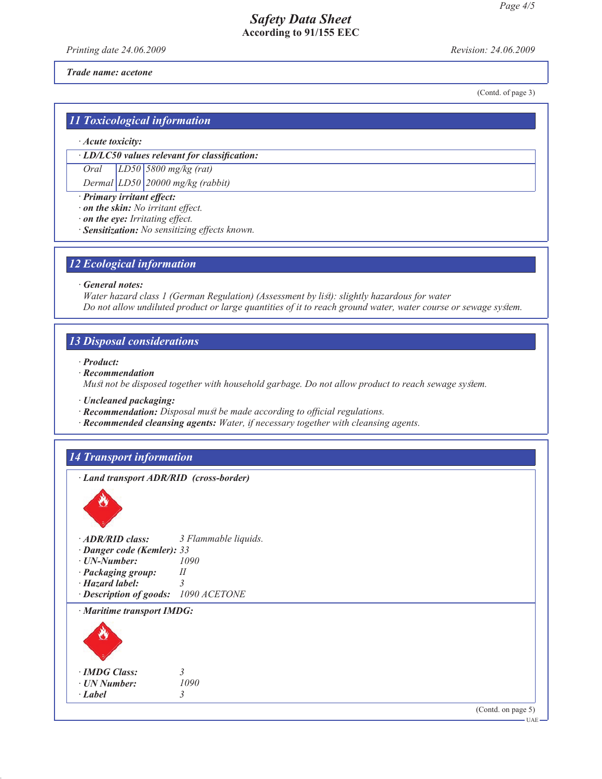*Printing date 24.06.2009 Revision: 24.06.2009*

(Contd. of page 3)

*Trade name: acetone*

*11 Toxicological information*

*· Acute toxicity:*

*· LD/LC50 values relevant for classification:*

*Oral LD50 5800 mg/kg (rat)*

*Dermal LD50 20000 mg/kg (rabbit)*

*· Primary irritant effect:*

*· on the skin: No irritant effect.*

*· on the eye: Irritating effect.*

*· Sensitization: No sensitizing effects known.*

### *12 Ecological information*

*· General notes:*

*Water hazard class 1 (German Regulation) (Assessment by list): slightly hazardous for water Do not allow undiluted product or large quantities of it to reach ground water, water course or sewage system.*

*13 Disposal considerations*

*· Product:*

*· Recommendation Must not be disposed together with household garbage. Do not allow product to reach sewage system.*

*· Uncleaned packaging:*

*· Recommendation: Disposal must be made according to official regulations.*

*· ADR/RID class: 3 Flammable liquids.*

*· Recommended cleansing agents: Water, if necessary together with cleansing agents.*

### *14 Transport information*

*· Land transport ADR/RID (cross-border)*

| $\cdot$ ADR/RID class:               | 3 Flammable liqi |
|--------------------------------------|------------------|
| · Danger code (Kemler): 33           |                  |
| $\cdot$ <i>UN-Number:</i>            | 1090             |
| · Packaging group:                   | II               |
| $\cdot$ Hazard label:                |                  |
| · Description of goods: 1090 ACETONE |                  |
| $\cdot$ Maritime transport IMDG:     |                  |
|                                      |                  |

| · IMDG Class: |      |
|---------------|------|
| · UN Number:  | 1090 |

*· Label 3*

(Contd. on page 5)

UAE